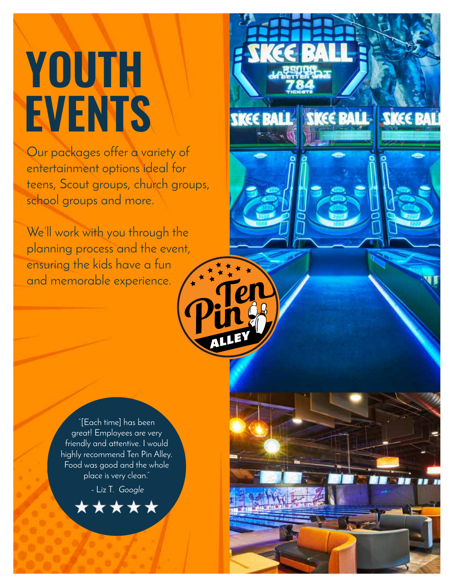# **YOUTH EVENTS**

Our packages offer a variety of entertainment options ideal for teens, Scout groups, church groups, school groups and more.

**SKEE BALL SKEE BALL** 

**SKEE B** 

We'll work with you through the planning process and the event, ensuring the kids have a fun and memorable experience.

> "[Each time] has been great! Employees are very friendly and attentive. I would highly recommend Ten Pin Alley. Food was good and the whole place is very clean."

- Liz T. *Google*